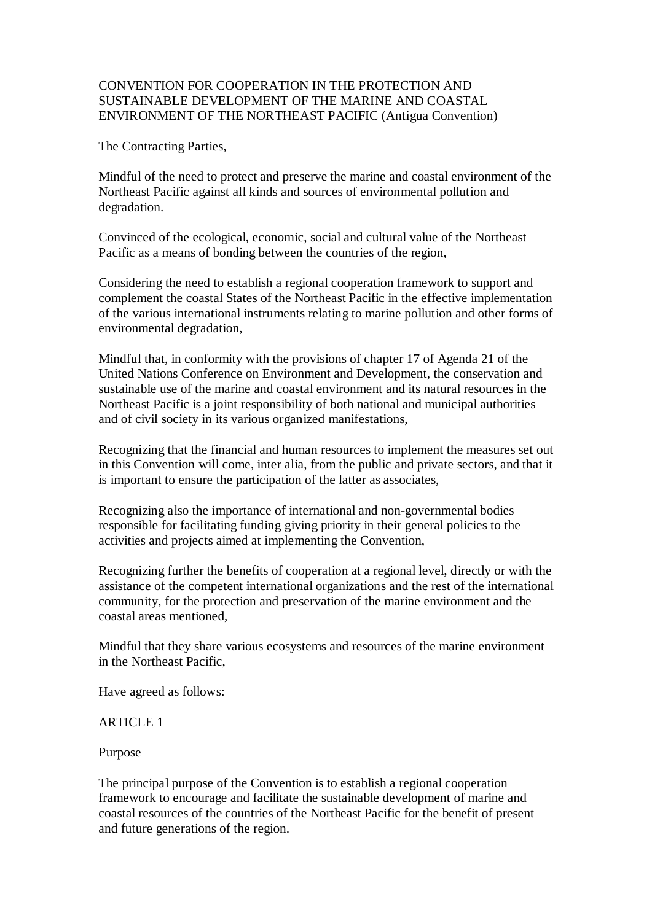### CONVENTION FOR COOPERATION IN THE PROTECTION AND SUSTAINABLE DEVELOPMENT OF THE MARINE AND COASTAL ENVIRONMENT OF THE NORTHEAST PACIFIC (Antigua Convention)

The Contracting Parties,

Mindful of the need to protect and preserve the marine and coastal environment of the Northeast Pacific against all kinds and sources of environmental pollution and degradation.

Convinced of the ecological, economic, social and cultural value of the Northeast Pacific as a means of bonding between the countries of the region,

Considering the need to establish a regional cooperation framework to support and complement the coastal States of the Northeast Pacific in the effective implementation of the various international instruments relating to marine pollution and other forms of environmental degradation,

Mindful that, in conformity with the provisions of chapter 17 of Agenda 21 of the United Nations Conference on Environment and Development, the conservation and sustainable use of the marine and coastal environment and its natural resources in the Northeast Pacific is a joint responsibility of both national and municipal authorities and of civil society in its various organized manifestations,

Recognizing that the financial and human resources to implement the measures set out in this Convention will come, inter alia, from the public and private sectors, and that it is important to ensure the participation of the latter as associates,

Recognizing also the importance of international and non-governmental bodies responsible for facilitating funding giving priority in their general policies to the activities and projects aimed at implementing the Convention,

Recognizing further the benefits of cooperation at a regional level, directly or with the assistance of the competent international organizations and the rest of the international community, for the protection and preservation of the marine environment and the coastal areas mentioned,

Mindful that they share various ecosystems and resources of the marine environment in the Northeast Pacific,

Have agreed as follows:

# ARTICLE 1

Purpose

The principal purpose of the Convention is to establish a regional cooperation framework to encourage and facilitate the sustainable development of marine and coastal resources of the countries of the Northeast Pacific for the benefit of present and future generations of the region.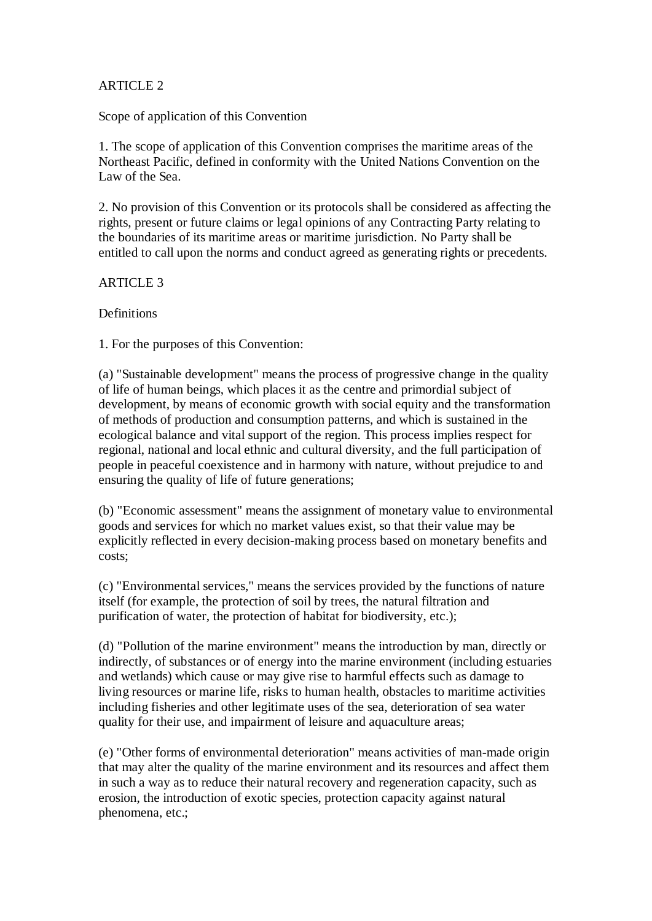### ARTICLE 2

Scope of application of this Convention

1. The scope of application of this Convention comprises the maritime areas of the Northeast Pacific, defined in conformity with the United Nations Convention on the Law of the Sea.

2. No provision of this Convention or its protocols shall be considered as affecting the rights, present or future claims or legal opinions of any Contracting Party relating to the boundaries of its maritime areas or maritime jurisdiction. No Party shall be entitled to call upon the norms and conduct agreed as generating rights or precedents.

ARTICLE 3

**Definitions** 

1. For the purposes of this Convention:

(a) "Sustainable development" means the process of progressive change in the quality of life of human beings, which places it as the centre and primordial subject of development, by means of economic growth with social equity and the transformation of methods of production and consumption patterns, and which is sustained in the ecological balance and vital support of the region. This process implies respect for regional, national and local ethnic and cultural diversity, and the full participation of people in peaceful coexistence and in harmony with nature, without prejudice to and ensuring the quality of life of future generations;

(b) "Economic assessment" means the assignment of monetary value to environmental goods and services for which no market values exist, so that their value may be explicitly reflected in every decision-making process based on monetary benefits and costs;

(c) "Environmental services," means the services provided by the functions of nature itself (for example, the protection of soil by trees, the natural filtration and purification of water, the protection of habitat for biodiversity, etc.);

(d) "Pollution of the marine environment" means the introduction by man, directly or indirectly, of substances or of energy into the marine environment (including estuaries and wetlands) which cause or may give rise to harmful effects such as damage to living resources or marine life, risks to human health, obstacles to maritime activities including fisheries and other legitimate uses of the sea, deterioration of sea water quality for their use, and impairment of leisure and aquaculture areas;

(e) "Other forms of environmental deterioration" means activities of man-made origin that may alter the quality of the marine environment and its resources and affect them in such a way as to reduce their natural recovery and regeneration capacity, such as erosion, the introduction of exotic species, protection capacity against natural phenomena, etc.;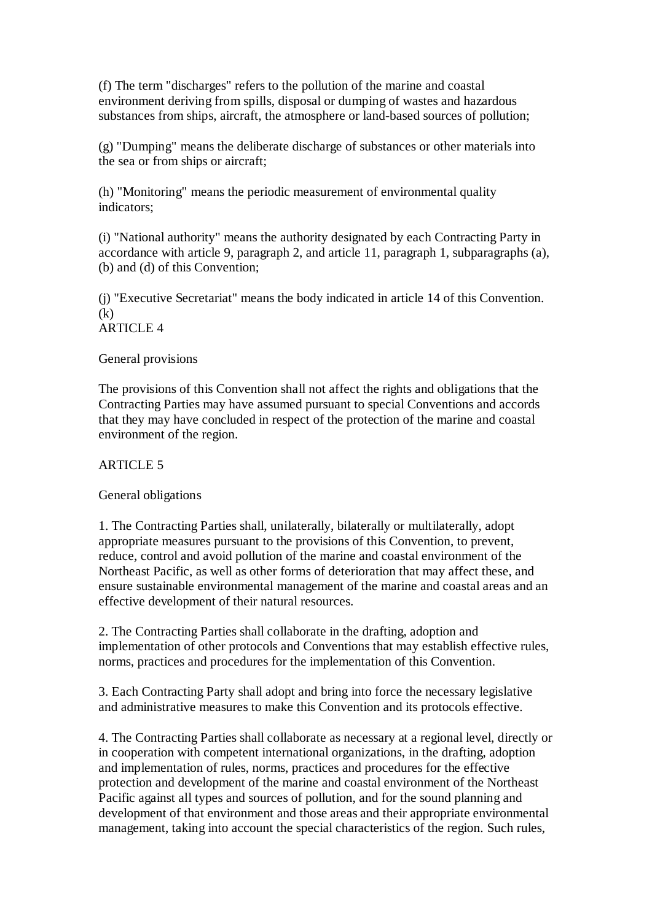(f) The term "discharges" refers to the pollution of the marine and coastal environment deriving from spills, disposal or dumping of wastes and hazardous substances from ships, aircraft, the atmosphere or land-based sources of pollution;

(g) "Dumping" means the deliberate discharge of substances or other materials into the sea or from ships or aircraft;

(h) "Monitoring" means the periodic measurement of environmental quality indicators;

(i) "National authority" means the authority designated by each Contracting Party in accordance with article 9, paragraph 2, and article 11, paragraph 1, subparagraphs (a), (b) and (d) of this Convention;

(j) "Executive Secretariat" means the body indicated in article 14 of this Convention.  $(k)$ 

ARTICLE 4

#### General provisions

The provisions of this Convention shall not affect the rights and obligations that the Contracting Parties may have assumed pursuant to special Conventions and accords that they may have concluded in respect of the protection of the marine and coastal environment of the region.

### ARTICLE 5

#### General obligations

1. The Contracting Parties shall, unilaterally, bilaterally or multilaterally, adopt appropriate measures pursuant to the provisions of this Convention, to prevent, reduce, control and avoid pollution of the marine and coastal environment of the Northeast Pacific, as well as other forms of deterioration that may affect these, and ensure sustainable environmental management of the marine and coastal areas and an effective development of their natural resources.

2. The Contracting Parties shall collaborate in the drafting, adoption and implementation of other protocols and Conventions that may establish effective rules, norms, practices and procedures for the implementation of this Convention.

3. Each Contracting Party shall adopt and bring into force the necessary legislative and administrative measures to make this Convention and its protocols effective.

4. The Contracting Parties shall collaborate as necessary at a regional level, directly or in cooperation with competent international organizations, in the drafting, adoption and implementation of rules, norms, practices and procedures for the effective protection and development of the marine and coastal environment of the Northeast Pacific against all types and sources of pollution, and for the sound planning and development of that environment and those areas and their appropriate environmental management, taking into account the special characteristics of the region. Such rules,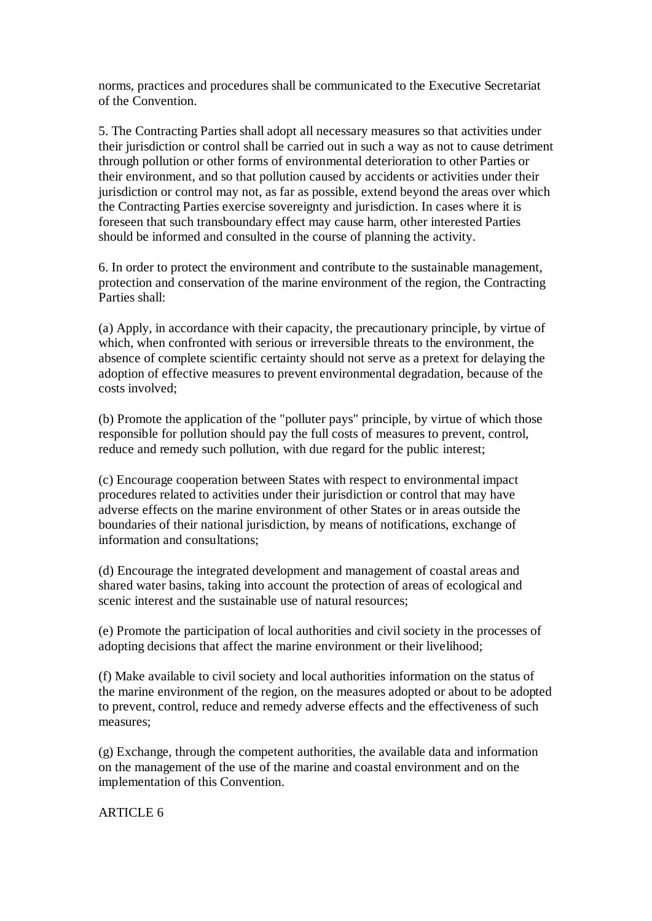norms, practices and procedures shall be communicated to the Executive Secretariat of the Convention.

5. The Contracting Parties shall adopt all necessary measures so that activities under their jurisdiction or control shall be carried out in such a way as not to cause detriment through pollution or other forms of environmental deterioration to other Parties or their environment, and so that pollution caused by accidents or activities under their jurisdiction or control may not, as far as possible, extend beyond the areas over which the Contracting Parties exercise sovereignty and jurisdiction. In cases where it is foreseen that such transboundary effect may cause harm, other interested Parties should be informed and consulted in the course of planning the activity.

6. In order to protect the environment and contribute to the sustainable management, protection and conservation of the marine environment of the region, the Contracting Parties shall:

(a) Apply, in accordance with their capacity, the precautionary principle, by virtue of which, when confronted with serious or irreversible threats to the environment, the absence of complete scientific certainty should not serve as a pretext for delaying the adoption of effective measures to prevent environmental degradation, because of the costs involved;

(b) Promote the application of the "polluter pays" principle, by virtue of which those responsible for pollution should pay the full costs of measures to prevent, control, reduce and remedy such pollution, with due regard for the public interest;

(c) Encourage cooperation between States with respect to environmental impact procedures related to activities under their jurisdiction or control that may have adverse effects on the marine environment of other States or in areas outside the boundaries of their national jurisdiction, by means of notifications, exchange of information and consultations;

(d) Encourage the integrated development and management of coastal areas and shared water basins, taking into account the protection of areas of ecological and scenic interest and the sustainable use of natural resources;

(e) Promote the participation of local authorities and civil society in the processes of adopting decisions that affect the marine environment or their livelihood;

(f) Make available to civil society and local authorities information on the status of the marine environment of the region, on the measures adopted or about to be adopted to prevent, control, reduce and remedy adverse effects and the effectiveness of such measures;

(g) Exchange, through the competent authorities, the available data and information on the management of the use of the marine and coastal environment and on the implementation of this Convention.

ARTICLE 6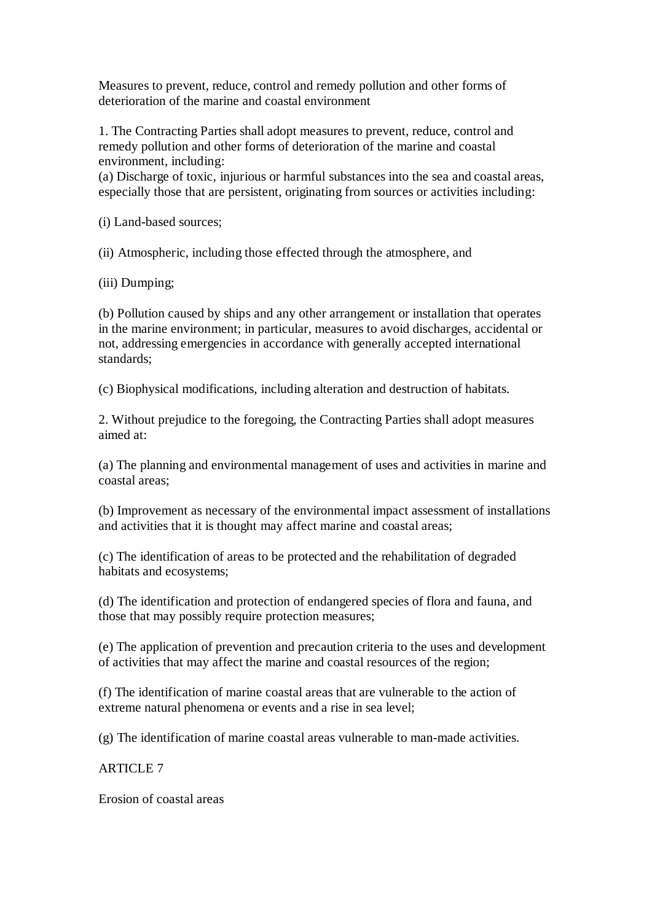Measures to prevent, reduce, control and remedy pollution and other forms of deterioration of the marine and coastal environment

1. The Contracting Parties shall adopt measures to prevent, reduce, control and remedy pollution and other forms of deterioration of the marine and coastal environment, including:

(a) Discharge of toxic, injurious or harmful substances into the sea and coastal areas, especially those that are persistent, originating from sources or activities including:

(i) Land-based sources;

(ii) Atmospheric, including those effected through the atmosphere, and

(iii) Dumping;

(b) Pollution caused by ships and any other arrangement or installation that operates in the marine environment; in particular, measures to avoid discharges, accidental or not, addressing emergencies in accordance with generally accepted international standards;

(c) Biophysical modifications, including alteration and destruction of habitats.

2. Without prejudice to the foregoing, the Contracting Parties shall adopt measures aimed at:

(a) The planning and environmental management of uses and activities in marine and coastal areas;

(b) Improvement as necessary of the environmental impact assessment of installations and activities that it is thought may affect marine and coastal areas;

(c) The identification of areas to be protected and the rehabilitation of degraded habitats and ecosystems;

(d) The identification and protection of endangered species of flora and fauna, and those that may possibly require protection measures;

(e) The application of prevention and precaution criteria to the uses and development of activities that may affect the marine and coastal resources of the region;

(f) The identification of marine coastal areas that are vulnerable to the action of extreme natural phenomena or events and a rise in sea level;

(g) The identification of marine coastal areas vulnerable to man-made activities.

ARTICLE 7

Erosion of coastal areas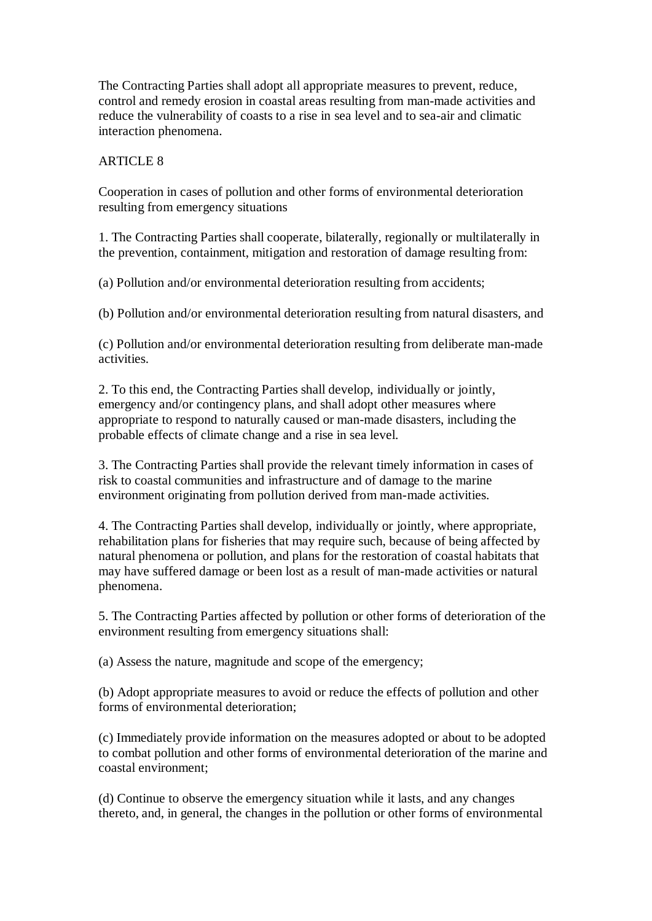The Contracting Parties shall adopt all appropriate measures to prevent, reduce, control and remedy erosion in coastal areas resulting from man-made activities and reduce the vulnerability of coasts to a rise in sea level and to sea-air and climatic interaction phenomena.

### ARTICLE 8

Cooperation in cases of pollution and other forms of environmental deterioration resulting from emergency situations

1. The Contracting Parties shall cooperate, bilaterally, regionally or multilaterally in the prevention, containment, mitigation and restoration of damage resulting from:

(a) Pollution and/or environmental deterioration resulting from accidents;

(b) Pollution and/or environmental deterioration resulting from natural disasters, and

(c) Pollution and/or environmental deterioration resulting from deliberate man-made activities.

2. To this end, the Contracting Parties shall develop, individually or jointly, emergency and/or contingency plans, and shall adopt other measures where appropriate to respond to naturally caused or man-made disasters, including the probable effects of climate change and a rise in sea level.

3. The Contracting Parties shall provide the relevant timely information in cases of risk to coastal communities and infrastructure and of damage to the marine environment originating from pollution derived from man-made activities.

4. The Contracting Parties shall develop, individually or jointly, where appropriate, rehabilitation plans for fisheries that may require such, because of being affected by natural phenomena or pollution, and plans for the restoration of coastal habitats that may have suffered damage or been lost as a result of man-made activities or natural phenomena.

5. The Contracting Parties affected by pollution or other forms of deterioration of the environment resulting from emergency situations shall:

(a) Assess the nature, magnitude and scope of the emergency;

(b) Adopt appropriate measures to avoid or reduce the effects of pollution and other forms of environmental deterioration;

(c) Immediately provide information on the measures adopted or about to be adopted to combat pollution and other forms of environmental deterioration of the marine and coastal environment;

(d) Continue to observe the emergency situation while it lasts, and any changes thereto, and, in general, the changes in the pollution or other forms of environmental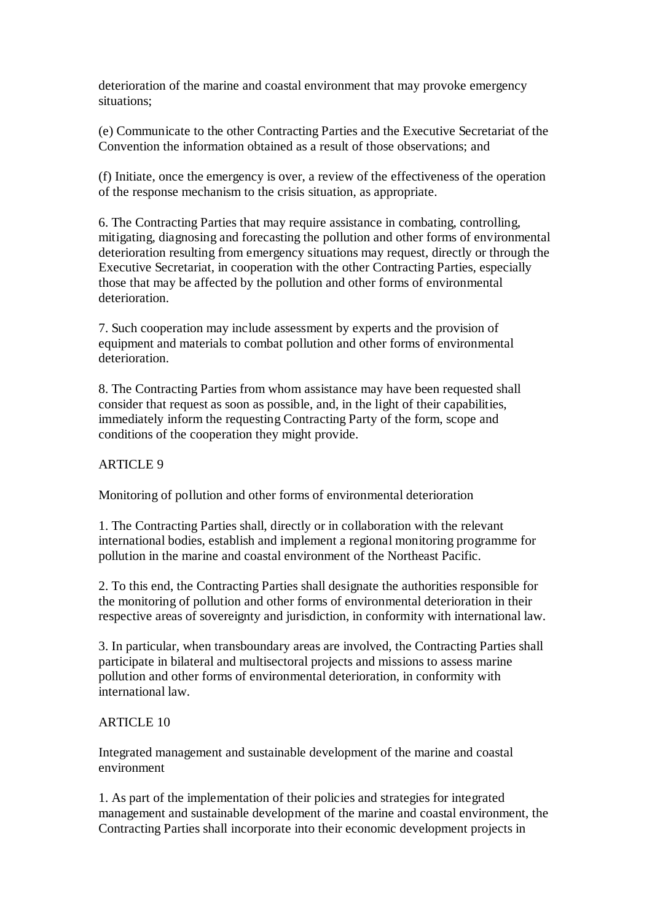deterioration of the marine and coastal environment that may provoke emergency situations;

(e) Communicate to the other Contracting Parties and the Executive Secretariat of the Convention the information obtained as a result of those observations; and

(f) Initiate, once the emergency is over, a review of the effectiveness of the operation of the response mechanism to the crisis situation, as appropriate.

6. The Contracting Parties that may require assistance in combating, controlling, mitigating, diagnosing and forecasting the pollution and other forms of environmental deterioration resulting from emergency situations may request, directly or through the Executive Secretariat, in cooperation with the other Contracting Parties, especially those that may be affected by the pollution and other forms of environmental deterioration.

7. Such cooperation may include assessment by experts and the provision of equipment and materials to combat pollution and other forms of environmental deterioration.

8. The Contracting Parties from whom assistance may have been requested shall consider that request as soon as possible, and, in the light of their capabilities, immediately inform the requesting Contracting Party of the form, scope and conditions of the cooperation they might provide.

ARTICLE 9

Monitoring of pollution and other forms of environmental deterioration

1. The Contracting Parties shall, directly or in collaboration with the relevant international bodies, establish and implement a regional monitoring programme for pollution in the marine and coastal environment of the Northeast Pacific.

2. To this end, the Contracting Parties shall designate the authorities responsible for the monitoring of pollution and other forms of environmental deterioration in their respective areas of sovereignty and jurisdiction, in conformity with international law.

3. In particular, when transboundary areas are involved, the Contracting Parties shall participate in bilateral and multisectoral projects and missions to assess marine pollution and other forms of environmental deterioration, in conformity with international law.

# ARTICLE 10

Integrated management and sustainable development of the marine and coastal environment

1. As part of the implementation of their policies and strategies for integrated management and sustainable development of the marine and coastal environment, the Contracting Parties shall incorporate into their economic development projects in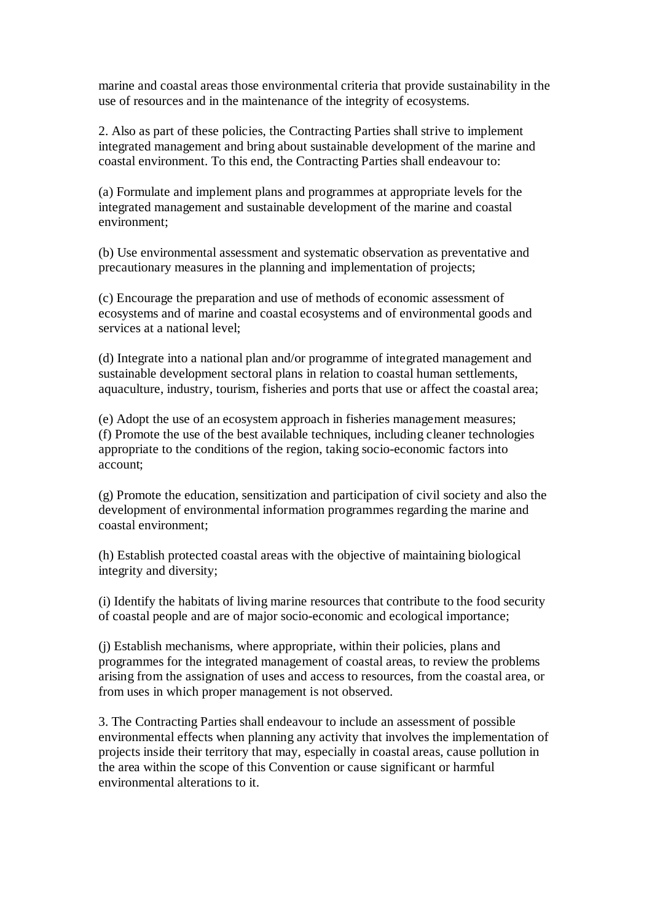marine and coastal areas those environmental criteria that provide sustainability in the use of resources and in the maintenance of the integrity of ecosystems.

2. Also as part of these policies, the Contracting Parties shall strive to implement integrated management and bring about sustainable development of the marine and coastal environment. To this end, the Contracting Parties shall endeavour to:

(a) Formulate and implement plans and programmes at appropriate levels for the integrated management and sustainable development of the marine and coastal environment;

(b) Use environmental assessment and systematic observation as preventative and precautionary measures in the planning and implementation of projects;

(c) Encourage the preparation and use of methods of economic assessment of ecosystems and of marine and coastal ecosystems and of environmental goods and services at a national level;

(d) Integrate into a national plan and/or programme of integrated management and sustainable development sectoral plans in relation to coastal human settlements, aquaculture, industry, tourism, fisheries and ports that use or affect the coastal area;

(e) Adopt the use of an ecosystem approach in fisheries management measures; (f) Promote the use of the best available techniques, including cleaner technologies appropriate to the conditions of the region, taking socio-economic factors into account;

(g) Promote the education, sensitization and participation of civil society and also the development of environmental information programmes regarding the marine and coastal environment;

(h) Establish protected coastal areas with the objective of maintaining biological integrity and diversity;

(i) Identify the habitats of living marine resources that contribute to the food security of coastal people and are of major socio-economic and ecological importance;

(j) Establish mechanisms, where appropriate, within their policies, plans and programmes for the integrated management of coastal areas, to review the problems arising from the assignation of uses and access to resources, from the coastal area, or from uses in which proper management is not observed.

3. The Contracting Parties shall endeavour to include an assessment of possible environmental effects when planning any activity that involves the implementation of projects inside their territory that may, especially in coastal areas, cause pollution in the area within the scope of this Convention or cause significant or harmful environmental alterations to it.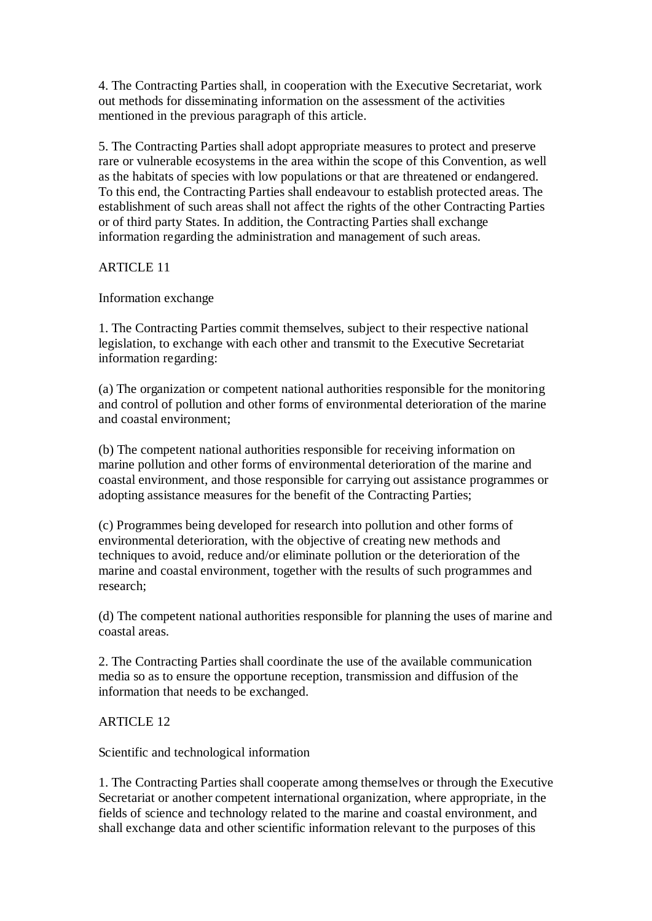4. The Contracting Parties shall, in cooperation with the Executive Secretariat, work out methods for disseminating information on the assessment of the activities mentioned in the previous paragraph of this article.

5. The Contracting Parties shall adopt appropriate measures to protect and preserve rare or vulnerable ecosystems in the area within the scope of this Convention, as well as the habitats of species with low populations or that are threatened or endangered. To this end, the Contracting Parties shall endeavour to establish protected areas. The establishment of such areas shall not affect the rights of the other Contracting Parties or of third party States. In addition, the Contracting Parties shall exchange information regarding the administration and management of such areas.

ARTICLE 11

Information exchange

1. The Contracting Parties commit themselves, subject to their respective national legislation, to exchange with each other and transmit to the Executive Secretariat information regarding:

(a) The organization or competent national authorities responsible for the monitoring and control of pollution and other forms of environmental deterioration of the marine and coastal environment;

(b) The competent national authorities responsible for receiving information on marine pollution and other forms of environmental deterioration of the marine and coastal environment, and those responsible for carrying out assistance programmes or adopting assistance measures for the benefit of the Contracting Parties;

(c) Programmes being developed for research into pollution and other forms of environmental deterioration, with the objective of creating new methods and techniques to avoid, reduce and/or eliminate pollution or the deterioration of the marine and coastal environment, together with the results of such programmes and research;

(d) The competent national authorities responsible for planning the uses of marine and coastal areas.

2. The Contracting Parties shall coordinate the use of the available communication media so as to ensure the opportune reception, transmission and diffusion of the information that needs to be exchanged.

# ARTICLE 12

Scientific and technological information

1. The Contracting Parties shall cooperate among themselves or through the Executive Secretariat or another competent international organization, where appropriate, in the fields of science and technology related to the marine and coastal environment, and shall exchange data and other scientific information relevant to the purposes of this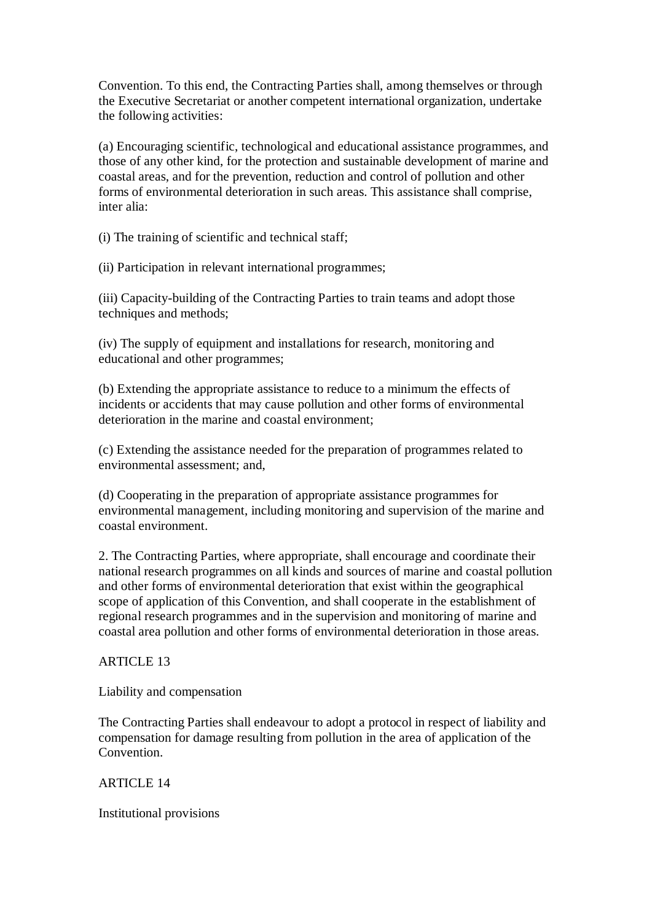Convention. To this end, the Contracting Parties shall, among themselves or through the Executive Secretariat or another competent international organization, undertake the following activities:

(a) Encouraging scientific, technological and educational assistance programmes, and those of any other kind, for the protection and sustainable development of marine and coastal areas, and for the prevention, reduction and control of pollution and other forms of environmental deterioration in such areas. This assistance shall comprise, inter alia:

(i) The training of scientific and technical staff;

(ii) Participation in relevant international programmes;

(iii) Capacity-building of the Contracting Parties to train teams and adopt those techniques and methods;

(iv) The supply of equipment and installations for research, monitoring and educational and other programmes;

(b) Extending the appropriate assistance to reduce to a minimum the effects of incidents or accidents that may cause pollution and other forms of environmental deterioration in the marine and coastal environment;

(c) Extending the assistance needed for the preparation of programmes related to environmental assessment; and,

(d) Cooperating in the preparation of appropriate assistance programmes for environmental management, including monitoring and supervision of the marine and coastal environment.

2. The Contracting Parties, where appropriate, shall encourage and coordinate their national research programmes on all kinds and sources of marine and coastal pollution and other forms of environmental deterioration that exist within the geographical scope of application of this Convention, and shall cooperate in the establishment of regional research programmes and in the supervision and monitoring of marine and coastal area pollution and other forms of environmental deterioration in those areas.

ARTICLE 13

Liability and compensation

The Contracting Parties shall endeavour to adopt a protocol in respect of liability and compensation for damage resulting from pollution in the area of application of the Convention.

ARTICLE 14

Institutional provisions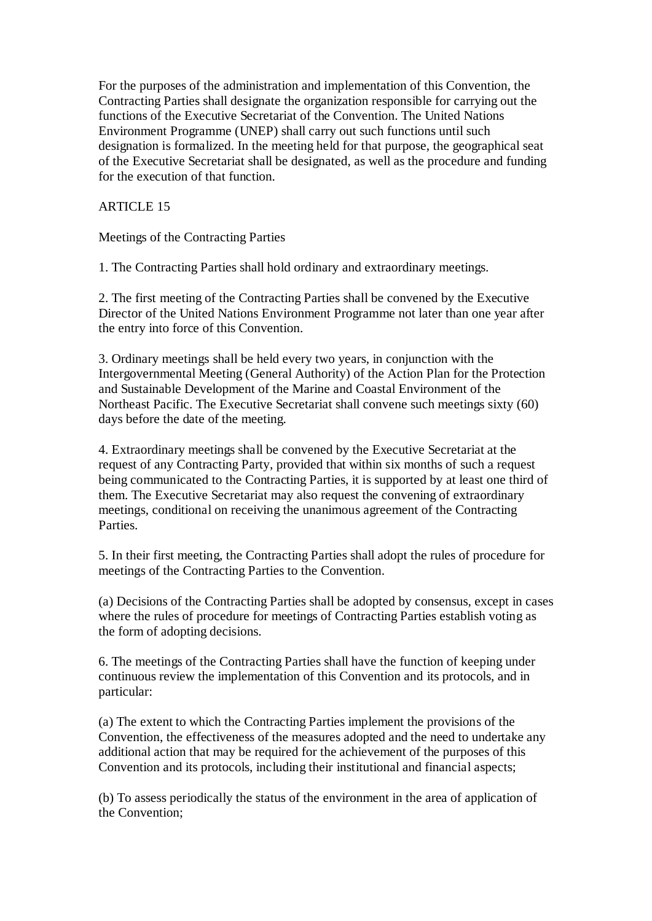For the purposes of the administration and implementation of this Convention, the Contracting Parties shall designate the organization responsible for carrying out the functions of the Executive Secretariat of the Convention. The United Nations Environment Programme (UNEP) shall carry out such functions until such designation is formalized. In the meeting held for that purpose, the geographical seat of the Executive Secretariat shall be designated, as well as the procedure and funding for the execution of that function.

### ARTICLE 15

Meetings of the Contracting Parties

1. The Contracting Parties shall hold ordinary and extraordinary meetings.

2. The first meeting of the Contracting Parties shall be convened by the Executive Director of the United Nations Environment Programme not later than one year after the entry into force of this Convention.

3. Ordinary meetings shall be held every two years, in conjunction with the Intergovernmental Meeting (General Authority) of the Action Plan for the Protection and Sustainable Development of the Marine and Coastal Environment of the Northeast Pacific. The Executive Secretariat shall convene such meetings sixty (60) days before the date of the meeting.

4. Extraordinary meetings shall be convened by the Executive Secretariat at the request of any Contracting Party, provided that within six months of such a request being communicated to the Contracting Parties, it is supported by at least one third of them. The Executive Secretariat may also request the convening of extraordinary meetings, conditional on receiving the unanimous agreement of the Contracting Parties.

5. In their first meeting, the Contracting Parties shall adopt the rules of procedure for meetings of the Contracting Parties to the Convention.

(a) Decisions of the Contracting Parties shall be adopted by consensus, except in cases where the rules of procedure for meetings of Contracting Parties establish voting as the form of adopting decisions.

6. The meetings of the Contracting Parties shall have the function of keeping under continuous review the implementation of this Convention and its protocols, and in particular:

(a) The extent to which the Contracting Parties implement the provisions of the Convention, the effectiveness of the measures adopted and the need to undertake any additional action that may be required for the achievement of the purposes of this Convention and its protocols, including their institutional and financial aspects;

(b) To assess periodically the status of the environment in the area of application of the Convention;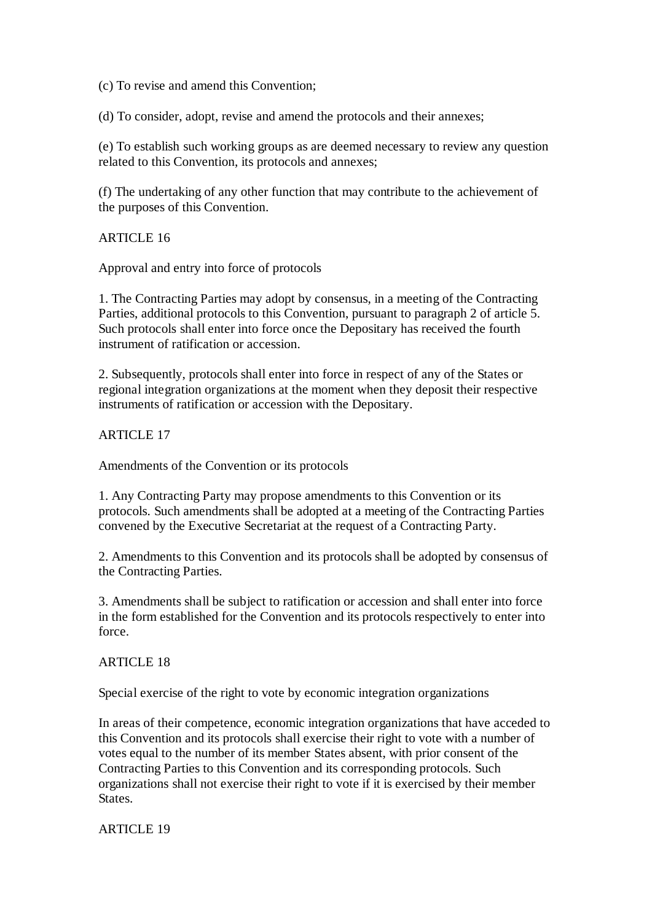(c) To revise and amend this Convention;

(d) To consider, adopt, revise and amend the protocols and their annexes;

(e) To establish such working groups as are deemed necessary to review any question related to this Convention, its protocols and annexes;

(f) The undertaking of any other function that may contribute to the achievement of the purposes of this Convention.

ARTICLE 16

Approval and entry into force of protocols

1. The Contracting Parties may adopt by consensus, in a meeting of the Contracting Parties, additional protocols to this Convention, pursuant to paragraph 2 of article 5. Such protocols shall enter into force once the Depositary has received the fourth instrument of ratification or accession.

2. Subsequently, protocols shall enter into force in respect of any of the States or regional integration organizations at the moment when they deposit their respective instruments of ratification or accession with the Depositary.

ARTICLE 17

Amendments of the Convention or its protocols

1. Any Contracting Party may propose amendments to this Convention or its protocols. Such amendments shall be adopted at a meeting of the Contracting Parties convened by the Executive Secretariat at the request of a Contracting Party.

2. Amendments to this Convention and its protocols shall be adopted by consensus of the Contracting Parties.

3. Amendments shall be subject to ratification or accession and shall enter into force in the form established for the Convention and its protocols respectively to enter into force.

ARTICLE 18

Special exercise of the right to vote by economic integration organizations

In areas of their competence, economic integration organizations that have acceded to this Convention and its protocols shall exercise their right to vote with a number of votes equal to the number of its member States absent, with prior consent of the Contracting Parties to this Convention and its corresponding protocols. Such organizations shall not exercise their right to vote if it is exercised by their member States.

ARTICLE 19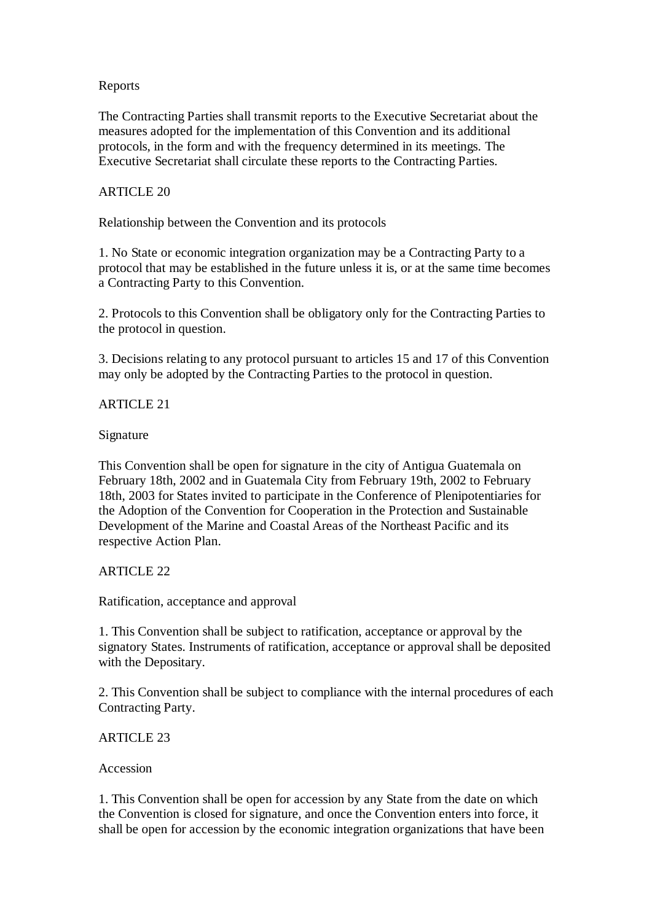### Reports

The Contracting Parties shall transmit reports to the Executive Secretariat about the measures adopted for the implementation of this Convention and its additional protocols, in the form and with the frequency determined in its meetings. The Executive Secretariat shall circulate these reports to the Contracting Parties.

### ARTICLE 20

Relationship between the Convention and its protocols

1. No State or economic integration organization may be a Contracting Party to a protocol that may be established in the future unless it is, or at the same time becomes a Contracting Party to this Convention.

2. Protocols to this Convention shall be obligatory only for the Contracting Parties to the protocol in question.

3. Decisions relating to any protocol pursuant to articles 15 and 17 of this Convention may only be adopted by the Contracting Parties to the protocol in question.

### ARTICLE 21

Signature

This Convention shall be open for signature in the city of Antigua Guatemala on February 18th, 2002 and in Guatemala City from February 19th, 2002 to February 18th, 2003 for States invited to participate in the Conference of Plenipotentiaries for the Adoption of the Convention for Cooperation in the Protection and Sustainable Development of the Marine and Coastal Areas of the Northeast Pacific and its respective Action Plan.

# ARTICLE 22

Ratification, acceptance and approval

1. This Convention shall be subject to ratification, acceptance or approval by the signatory States. Instruments of ratification, acceptance or approval shall be deposited with the Depositary.

2. This Convention shall be subject to compliance with the internal procedures of each Contracting Party.

# ARTICLE 23

#### Accession

1. This Convention shall be open for accession by any State from the date on which the Convention is closed for signature, and once the Convention enters into force, it shall be open for accession by the economic integration organizations that have been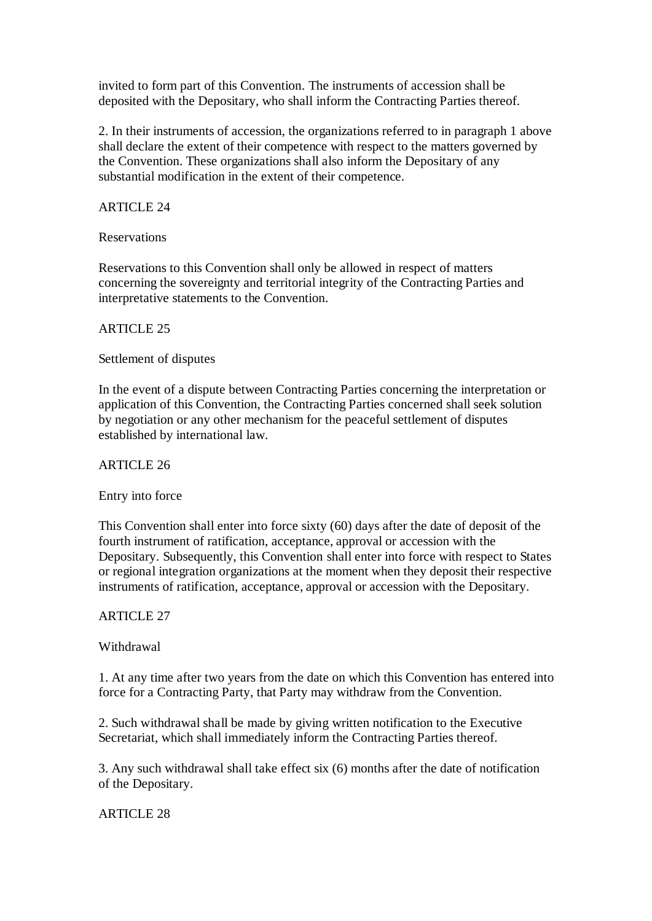invited to form part of this Convention. The instruments of accession shall be deposited with the Depositary, who shall inform the Contracting Parties thereof.

2. In their instruments of accession, the organizations referred to in paragraph 1 above shall declare the extent of their competence with respect to the matters governed by the Convention. These organizations shall also inform the Depositary of any substantial modification in the extent of their competence.

### ARTICLE 24

Reservations

Reservations to this Convention shall only be allowed in respect of matters concerning the sovereignty and territorial integrity of the Contracting Parties and interpretative statements to the Convention.

### ARTICLE 25

Settlement of disputes

In the event of a dispute between Contracting Parties concerning the interpretation or application of this Convention, the Contracting Parties concerned shall seek solution by negotiation or any other mechanism for the peaceful settlement of disputes established by international law.

ARTICLE 26

Entry into force

This Convention shall enter into force sixty (60) days after the date of deposit of the fourth instrument of ratification, acceptance, approval or accession with the Depositary. Subsequently, this Convention shall enter into force with respect to States or regional integration organizations at the moment when they deposit their respective instruments of ratification, acceptance, approval or accession with the Depositary.

ARTICLE 27

Withdrawal

1. At any time after two years from the date on which this Convention has entered into force for a Contracting Party, that Party may withdraw from the Convention.

2. Such withdrawal shall be made by giving written notification to the Executive Secretariat, which shall immediately inform the Contracting Parties thereof.

3. Any such withdrawal shall take effect six (6) months after the date of notification of the Depositary.

ARTICLE 28